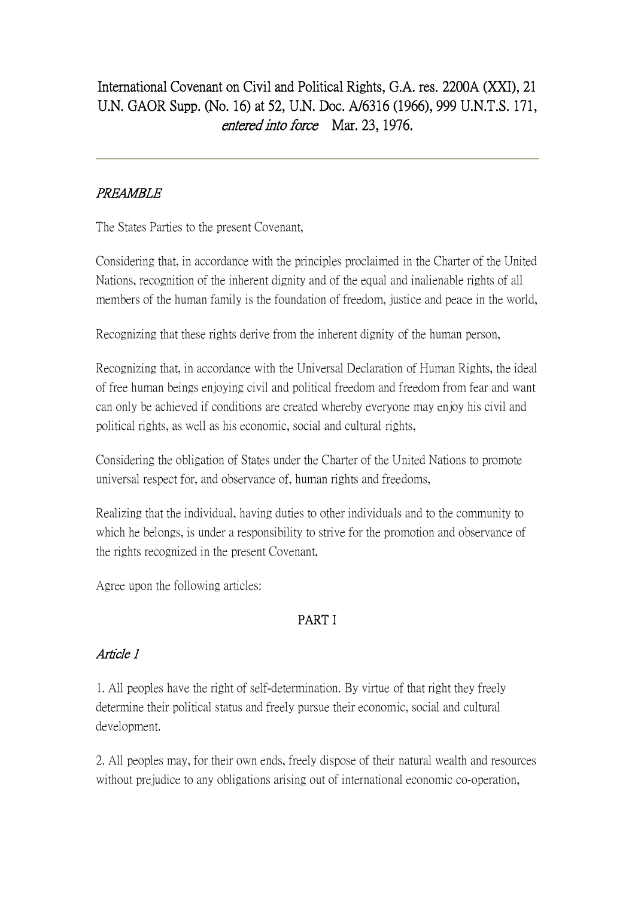# International Covenant on Civil and Political Rights, G.A. res. 2200A (XXI), 21 U.N. GAOR Supp. (No. 16) at 52, U.N. Doc. A/6316 (1966), 999 U.N.T.S. 171, entered into force Mar. 23, 1976.

### PREAMBLE

The States Parties to the present Covenant,

Considering that, in accordance with the principles proclaimed in the Charter of the United Nations, recognition of the inherent dignity and of the equal and inalienable rights of all members of the human family is the foundation of freedom, justice and peace in the world,

Recognizing that these rights derive from the inherent dignity of the human person,

Recognizing that, in accordance with the Universal Declaration of Human Rights, the ideal of free human beings enjoying civil and political freedom and freedom from fear and want can only be achieved if conditions are created whereby everyone may enjoy his civil and political rights, as well as his economic, social and cultural rights,

Considering the obligation of States under the Charter of the United Nations to promote universal respect for, and observance of, human rights and freedoms,

Realizing that the individual, having duties to other individuals and to the community to which he belongs, is under a responsibility to strive for the promotion and observance of the rights recognized in the present Covenant,

Agree upon the following articles:

## PART I

## Article 1

1. All peoples have the right of self-determination. By virtue of that right they freely determine their political status and freely pursue their economic, social and cultural development.

2. All peoples may, for their own ends, freely dispose of their natural wealth and resources without prejudice to any obligations arising out of international economic co-operation,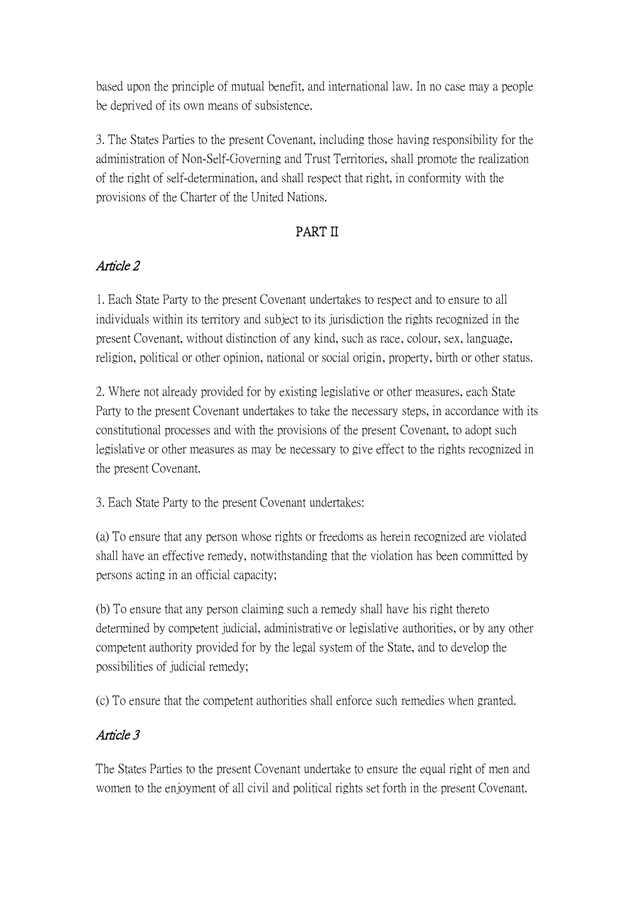based upon the principle of mutual benefit, and international law. In no case may a people be deprived of its own means of subsistence.

3. The States Parties to the present Covenant, including those having responsibility for the administration of Non-Self-Governing and Trust Territories, shall promote the realization of the right of self-determination, and shall respect that right, in conformity with the provisions of the Charter of the United Nations.

## PART II

### Article 2

1. Each State Party to the present Covenant undertakes to respect and to ensure to all individuals within its territory and subject to its jurisdiction the rights recognized in the present Covenant, without distinction of any kind, such as race, colour, sex, language, religion, political or other opinion, national or social origin, property, birth or other status.

2. Where not already provided for by existing legislative or other measures, each State Party to the present Covenant undertakes to take the necessary steps, in accordance with its constitutional processes and with the provisions of the present Covenant, to adopt such legislative or other measures as may be necessary to give effect to the rights recognized in the present Covenant.

3. Each State Party to the present Covenant undertakes:

(a) To ensure that any person whose rights or freedoms as herein recognized are violated shall have an effective remedy, notwithstanding that the violation has been committed by persons acting in an official capacity;

(b) To ensure that any person claiming such a remedy shall have his right thereto determined by competent judicial, administrative or legislative authorities, or by any other competent authority provided for by the legal system of the State, and to develop the possibilities of judicial remedy;

(c) To ensure that the competent authorities shall enforce such remedies when granted.

### Article 3

The States Parties to the present Covenant undertake to ensure the equal right of men and women to the enjoyment of all civil and political rights set forth in the present Covenant.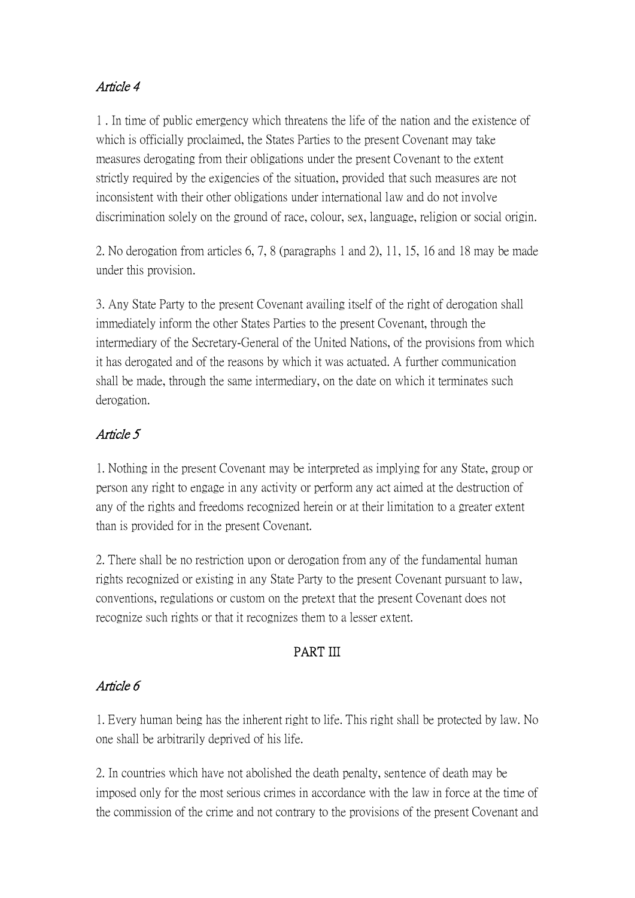1 . In time of public emergency which threatens the life of the nation and the existence of which is officially proclaimed, the States Parties to the present Covenant may take measures derogating from their obligations under the present Covenant to the extent strictly required by the exigencies of the situation, provided that such measures are not inconsistent with their other obligations under international law and do not involve discrimination solely on the ground of race, colour, sex, language, religion or social origin.

2. No derogation from articles 6, 7, 8 (paragraphs 1 and 2), 11, 15, 16 and 18 may be made under this provision.

3. Any State Party to the present Covenant availing itself of the right of derogation shall immediately inform the other States Parties to the present Covenant, through the intermediary of the Secretary-General of the United Nations, of the provisions from which it has derogated and of the reasons by which it was actuated. A further communication shall be made, through the same intermediary, on the date on which it terminates such derogation.

### Article 5

1. Nothing in the present Covenant may be interpreted as implying for any State, group or person any right to engage in any activity or perform any act aimed at the destruction of any of the rights and freedoms recognized herein or at their limitation to a greater extent than is provided for in the present Covenant.

2. There shall be no restriction upon or derogation from any of the fundamental human rights recognized or existing in any State Party to the present Covenant pursuant to law, conventions, regulations or custom on the pretext that the present Covenant does not recognize such rights or that it recognizes them to a lesser extent.

#### PART III

#### Article 6

1. Every human being has the inherent right to life. This right shall be protected by law. No one shall be arbitrarily deprived of his life.

2. In countries which have not abolished the death penalty, sentence of death may be imposed only for the most serious crimes in accordance with the law in force at the time of the commission of the crime and not contrary to the provisions of the present Covenant and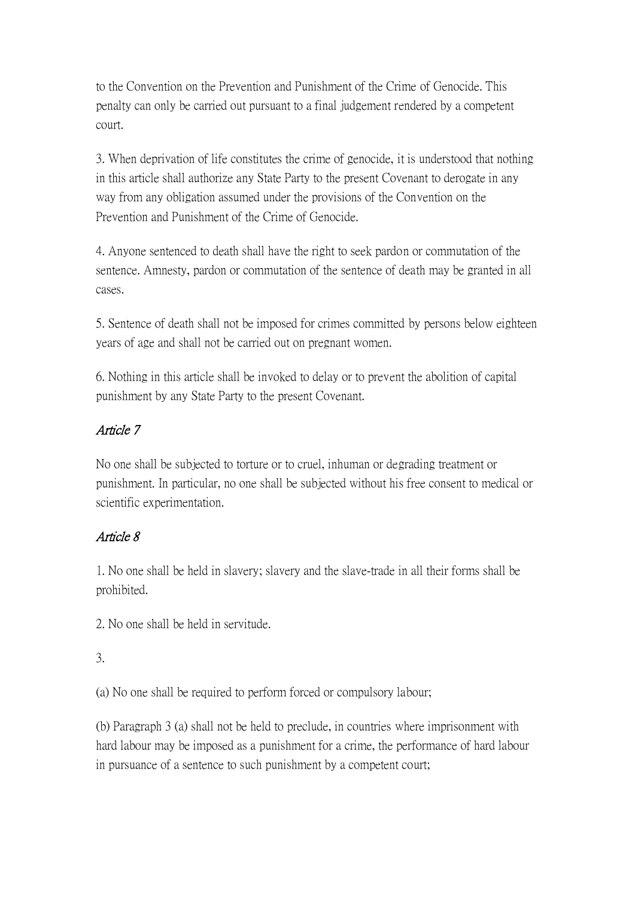to the Convention on the Prevention and Punishment of the Crime of Genocide. This penalty can only be carried out pursuant to a final judgement rendered by a competent court.

3. When deprivation of life constitutes the crime of genocide, it is understood that nothing in this article shall authorize any State Party to the present Covenant to derogate in any way from any obligation assumed under the provisions of the Convention on the Prevention and Punishment of the Crime of Genocide.

4. Anyone sentenced to death shall have the right to seek pardon or commutation of the sentence. Amnesty, pardon or commutation of the sentence of death may be granted in all cases.

5. Sentence of death shall not be imposed for crimes committed by persons below eighteen years of age and shall not be carried out on pregnant women.

6. Nothing in this article shall be invoked to delay or to prevent the abolition of capital punishment by any State Party to the present Covenant.

### Article 7

No one shall be subjected to torture or to cruel, inhuman or degrading treatment or punishment. In particular, no one shall be subjected without his free consent to medical or scientific experimentation.

### Article 8

1. No one shall be held in slavery; slavery and the slave-trade in all their forms shall be prohibited.

2. No one shall be held in servitude.

### 3.

(a) No one shall be required to perform forced or compulsory labour;

(b) Paragraph 3 (a) shall not be held to preclude, in countries where imprisonment with hard labour may be imposed as a punishment for a crime, the performance of hard labour in pursuance of a sentence to such punishment by a competent court;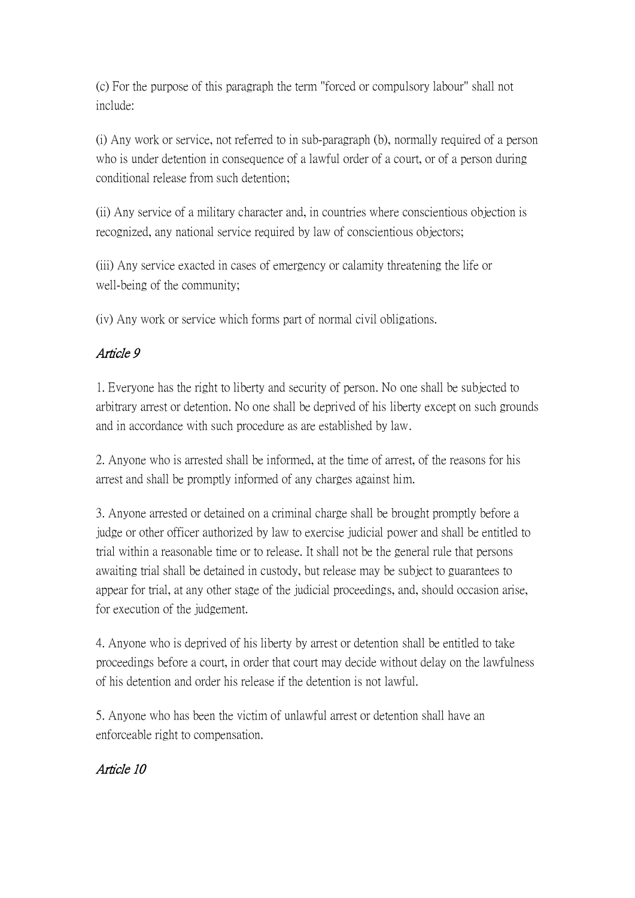(c) For the purpose of this paragraph the term "forced or compulsory labour" shall not include:

(i) Any work or service, not referred to in sub-paragraph (b), normally required of a person who is under detention in consequence of a lawful order of a court, or of a person during conditional release from such detention;

(ii) Any service of a military character and, in countries where conscientious objection is recognized, any national service required by law of conscientious objectors;

(iii) Any service exacted in cases of emergency or calamity threatening the life or well-being of the community;

(iv) Any work or service which forms part of normal civil obligations.

# Article 9

1. Everyone has the right to liberty and security of person. No one shall be subjected to arbitrary arrest or detention. No one shall be deprived of his liberty except on such grounds and in accordance with such procedure as are established by law.

2. Anyone who is arrested shall be informed, at the time of arrest, of the reasons for his arrest and shall be promptly informed of any charges against him.

3. Anyone arrested or detained on a criminal charge shall be brought promptly before a judge or other officer authorized by law to exercise judicial power and shall be entitled to trial within a reasonable time or to release. It shall not be the general rule that persons awaiting trial shall be detained in custody, but release may be subject to guarantees to appear for trial, at any other stage of the judicial proceedings, and, should occasion arise, for execution of the judgement.

4. Anyone who is deprived of his liberty by arrest or detention shall be entitled to take proceedings before a court, in order that court may decide without delay on the lawfulness of his detention and order his release if the detention is not lawful.

5. Anyone who has been the victim of unlawful arrest or detention shall have an enforceable right to compensation.

# Article 10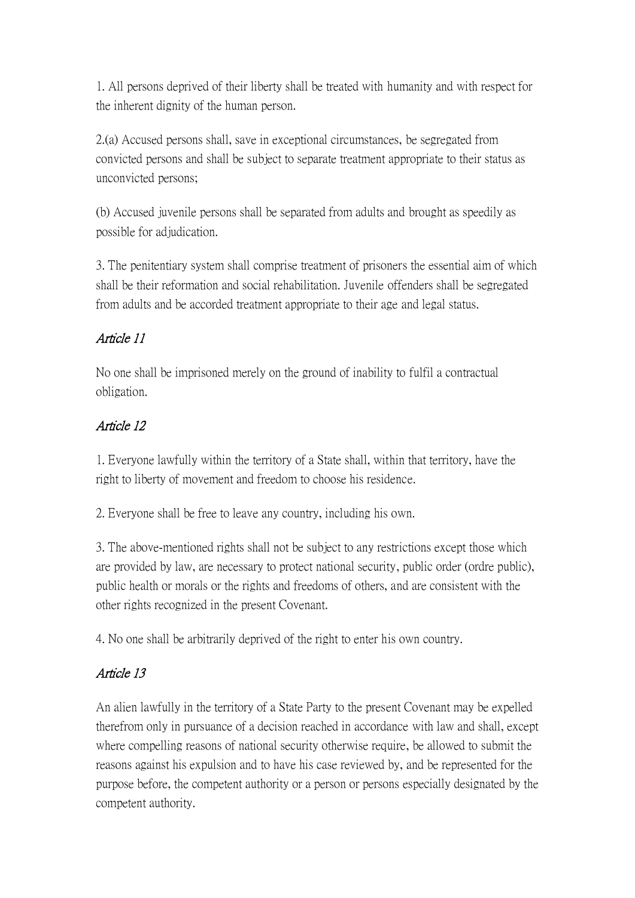1. All persons deprived of their liberty shall be treated with humanity and with respect for the inherent dignity of the human person.

2.(a) Accused persons shall, save in exceptional circumstances, be segregated from convicted persons and shall be subject to separate treatment appropriate to their status as unconvicted persons;

(b) Accused juvenile persons shall be separated from adults and brought as speedily as possible for adjudication.

3. The penitentiary system shall comprise treatment of prisoners the essential aim of which shall be their reformation and social rehabilitation. Juvenile offenders shall be segregated from adults and be accorded treatment appropriate to their age and legal status.

# Article 11

No one shall be imprisoned merely on the ground of inability to fulfil a contractual obligation.

## Article 12

1. Everyone lawfully within the territory of a State shall, within that territory, have the right to liberty of movement and freedom to choose his residence.

2. Everyone shall be free to leave any country, including his own.

3. The above-mentioned rights shall not be subject to any restrictions except those which are provided by law, are necessary to protect national security, public order (ordre public), public health or morals or the rights and freedoms of others, and are consistent with the other rights recognized in the present Covenant.

4. No one shall be arbitrarily deprived of the right to enter his own country.

# Article 13

An alien lawfully in the territory of a State Party to the present Covenant may be expelled therefrom only in pursuance of a decision reached in accordance with law and shall, except where compelling reasons of national security otherwise require, be allowed to submit the reasons against his expulsion and to have his case reviewed by, and be represented for the purpose before, the competent authority or a person or persons especially designated by the competent authority.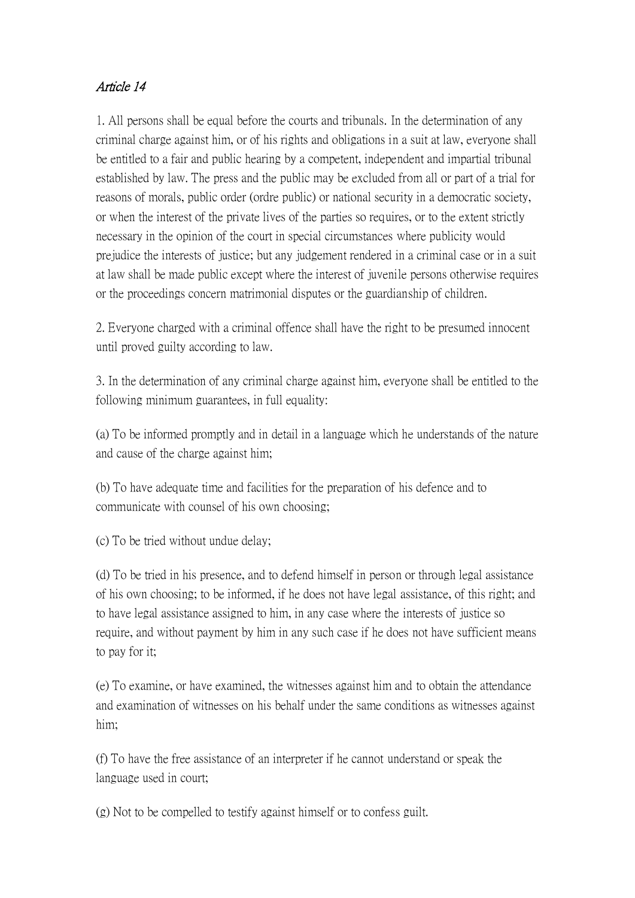1. All persons shall be equal before the courts and tribunals. In the determination of any criminal charge against him, or of his rights and obligations in a suit at law, everyone shall be entitled to a fair and public hearing by a competent, independent and impartial tribunal established by law. The press and the public may be excluded from all or part of a trial for reasons of morals, public order (ordre public) or national security in a democratic society, or when the interest of the private lives of the parties so requires, or to the extent strictly necessary in the opinion of the court in special circumstances where publicity would prejudice the interests of justice; but any judgement rendered in a criminal case or in a suit at law shall be made public except where the interest of juvenile persons otherwise requires or the proceedings concern matrimonial disputes or the guardianship of children.

2. Everyone charged with a criminal offence shall have the right to be presumed innocent until proved guilty according to law.

3. In the determination of any criminal charge against him, everyone shall be entitled to the following minimum guarantees, in full equality:

(a) To be informed promptly and in detail in a language which he understands of the nature and cause of the charge against him;

(b) To have adequate time and facilities for the preparation of his defence and to communicate with counsel of his own choosing;

(c) To be tried without undue delay;

(d) To be tried in his presence, and to defend himself in person or through legal assistance of his own choosing; to be informed, if he does not have legal assistance, of this right; and to have legal assistance assigned to him, in any case where the interests of justice so require, and without payment by him in any such case if he does not have sufficient means to pay for it;

(e) To examine, or have examined, the witnesses against him and to obtain the attendance and examination of witnesses on his behalf under the same conditions as witnesses against him;

(f) To have the free assistance of an interpreter if he cannot understand or speak the language used in court;

(g) Not to be compelled to testify against himself or to confess guilt.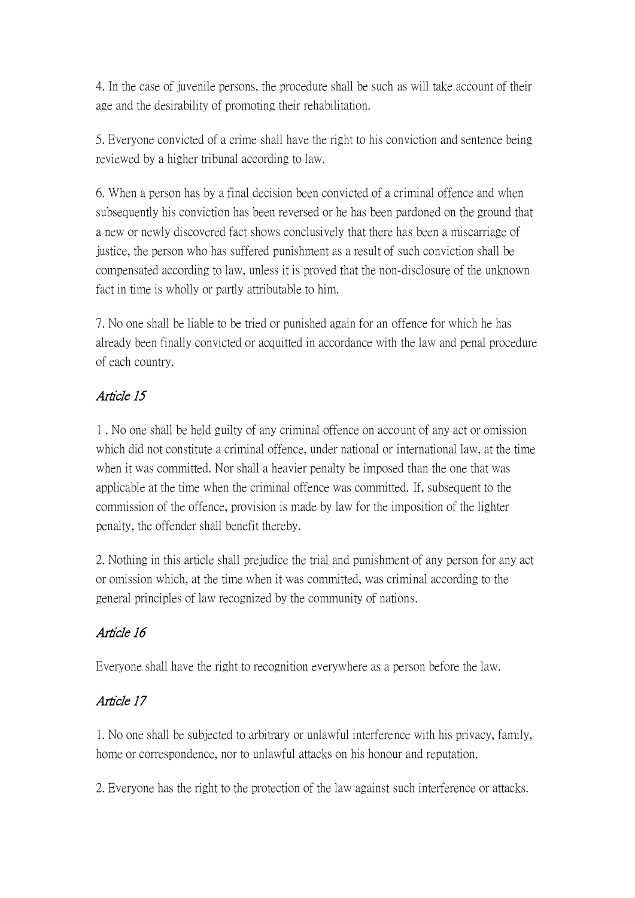4. In the case of juvenile persons, the procedure shall be such as will take account of their age and the desirability of promoting their rehabilitation.

5. Everyone convicted of a crime shall have the right to his conviction and sentence being reviewed by a higher tribunal according to law.

6. When a person has by a final decision been convicted of a criminal offence and when subsequently his conviction has been reversed or he has been pardoned on the ground that a new or newly discovered fact shows conclusively that there has been a miscarriage of justice, the person who has suffered punishment as a result of such conviction shall be compensated according to law, unless it is proved that the non-disclosure of the unknown fact in time is wholly or partly attributable to him.

7. No one shall be liable to be tried or punished again for an offence for which he has already been finally convicted or acquitted in accordance with the law and penal procedure of each country.

## Article 15

1 . No one shall be held guilty of any criminal offence on account of any act or omission which did not constitute a criminal offence, under national or international law, at the time when it was committed. Nor shall a heavier penalty be imposed than the one that was applicable at the time when the criminal offence was committed. If, subsequent to the commission of the offence, provision is made by law for the imposition of the lighter penalty, the offender shall benefit thereby.

2. Nothing in this article shall prejudice the trial and punishment of any person for any act or omission which, at the time when it was committed, was criminal according to the general principles of law recognized by the community of nations.

### Article 16

Everyone shall have the right to recognition everywhere as a person before the law.

### Article 17

1. No one shall be subjected to arbitrary or unlawful interference with his privacy, family, home or correspondence, nor to unlawful attacks on his honour and reputation.

2. Everyone has the right to the protection of the law against such interference or attacks.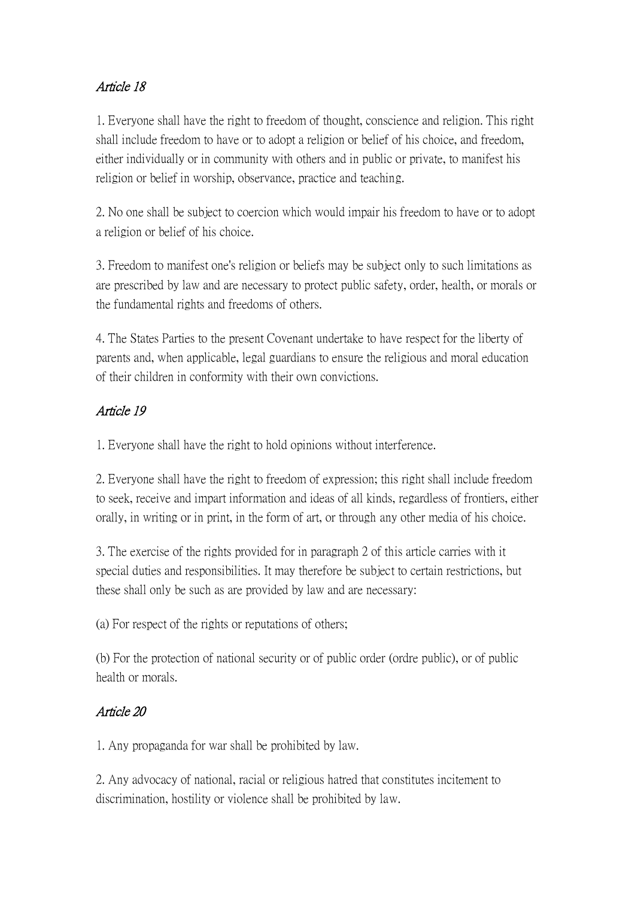1. Everyone shall have the right to freedom of thought, conscience and religion. This right shall include freedom to have or to adopt a religion or belief of his choice, and freedom, either individually or in community with others and in public or private, to manifest his religion or belief in worship, observance, practice and teaching.

2. No one shall be subject to coercion which would impair his freedom to have or to adopt a religion or belief of his choice.

3. Freedom to manifest one's religion or beliefs may be subject only to such limitations as are prescribed by law and are necessary to protect public safety, order, health, or morals or the fundamental rights and freedoms of others.

4. The States Parties to the present Covenant undertake to have respect for the liberty of parents and, when applicable, legal guardians to ensure the religious and moral education of their children in conformity with their own convictions.

# Article 19

1. Everyone shall have the right to hold opinions without interference.

2. Everyone shall have the right to freedom of expression; this right shall include freedom to seek, receive and impart information and ideas of all kinds, regardless of frontiers, either orally, in writing or in print, in the form of art, or through any other media of his choice.

3. The exercise of the rights provided for in paragraph 2 of this article carries with it special duties and responsibilities. It may therefore be subject to certain restrictions, but these shall only be such as are provided by law and are necessary:

(a) For respect of the rights or reputations of others;

(b) For the protection of national security or of public order (ordre public), or of public health or morals.

# Article 20

1. Any propaganda for war shall be prohibited by law.

2. Any advocacy of national, racial or religious hatred that constitutes incitement to discrimination, hostility or violence shall be prohibited by law.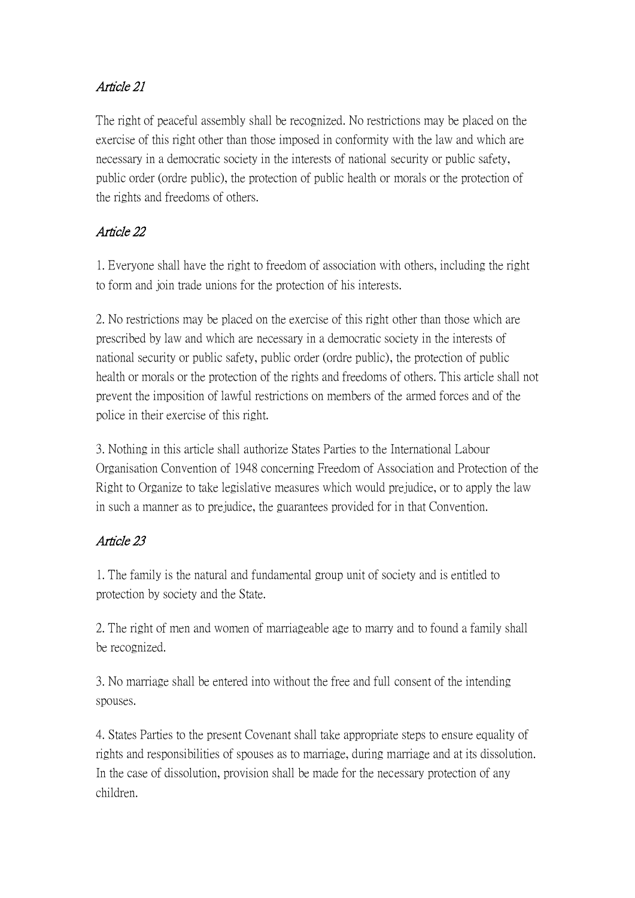The right of peaceful assembly shall be recognized. No restrictions may be placed on the exercise of this right other than those imposed in conformity with the law and which are necessary in a democratic society in the interests of national security or public safety, public order (ordre public), the protection of public health or morals or the protection of the rights and freedoms of others.

# Article 22

1. Everyone shall have the right to freedom of association with others, including the right to form and join trade unions for the protection of his interests.

2. No restrictions may be placed on the exercise of this right other than those which are prescribed by law and which are necessary in a democratic society in the interests of national security or public safety, public order (ordre public), the protection of public health or morals or the protection of the rights and freedoms of others. This article shall not prevent the imposition of lawful restrictions on members of the armed forces and of the police in their exercise of this right.

3. Nothing in this article shall authorize States Parties to the International Labour Organisation Convention of 1948 concerning Freedom of Association and Protection of the Right to Organize to take legislative measures which would prejudice, or to apply the law in such a manner as to prejudice, the guarantees provided for in that Convention.

## Article 23

1. The family is the natural and fundamental group unit of society and is entitled to protection by society and the State.

2. The right of men and women of marriageable age to marry and to found a family shall be recognized.

3. No marriage shall be entered into without the free and full consent of the intending spouses.

4. States Parties to the present Covenant shall take appropriate steps to ensure equality of rights and responsibilities of spouses as to marriage, during marriage and at its dissolution. In the case of dissolution, provision shall be made for the necessary protection of any children.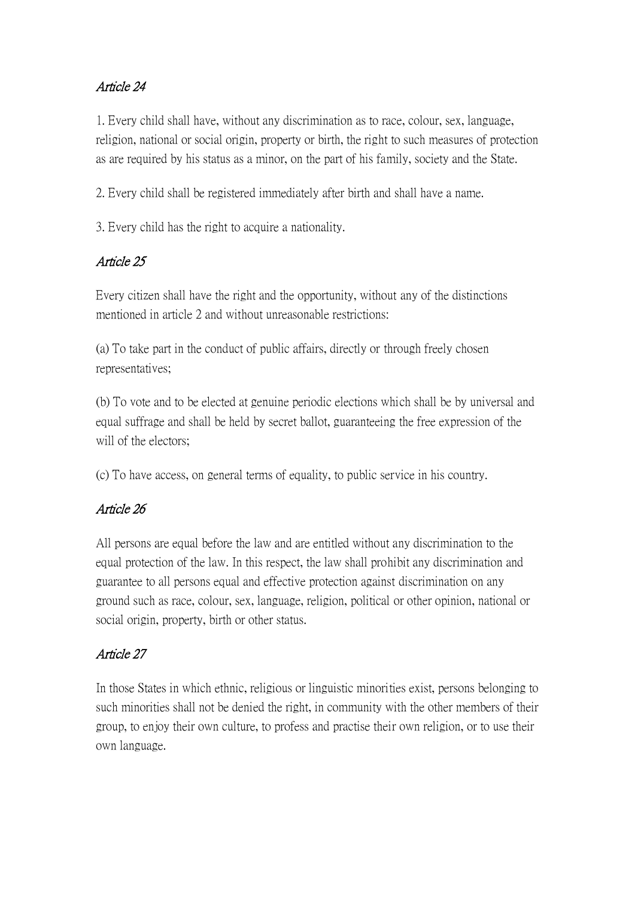1. Every child shall have, without any discrimination as to race, colour, sex, language, religion, national or social origin, property or birth, the right to such measures of protection as are required by his status as a minor, on the part of his family, society and the State.

2. Every child shall be registered immediately after birth and shall have a name.

3. Every child has the right to acquire a nationality.

# Article 25

Every citizen shall have the right and the opportunity, without any of the distinctions mentioned in article 2 and without unreasonable restrictions:

(a) To take part in the conduct of public affairs, directly or through freely chosen representatives;

(b) To vote and to be elected at genuine periodic elections which shall be by universal and equal suffrage and shall be held by secret ballot, guaranteeing the free expression of the will of the electors;

(c) To have access, on general terms of equality, to public service in his country.

## Article 26

All persons are equal before the law and are entitled without any discrimination to the equal protection of the law. In this respect, the law shall prohibit any discrimination and guarantee to all persons equal and effective protection against discrimination on any ground such as race, colour, sex, language, religion, political or other opinion, national or social origin, property, birth or other status.

# Article 27

In those States in which ethnic, religious or linguistic minorities exist, persons belonging to such minorities shall not be denied the right, in community with the other members of their group, to enjoy their own culture, to profess and practise their own religion, or to use their own language.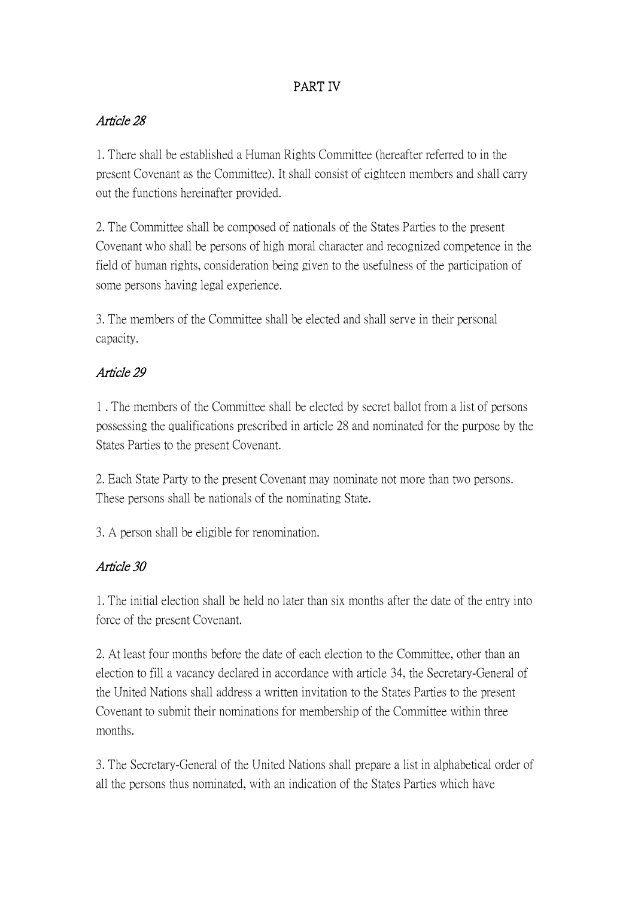### PART IV

### Article 28

1. There shall be established a Human Rights Committee (hereafter referred to in the present Covenant as the Committee). It shall consist of eighteen members and shall carry out the functions hereinafter provided.

2. The Committee shall be composed of nationals of the States Parties to the present Covenant who shall be persons of high moral character and recognized competence in the field of human rights, consideration being given to the usefulness of the participation of some persons having legal experience.

3. The members of the Committee shall be elected and shall serve in their personal capacity.

## Article 29

1 . The members of the Committee shall be elected by secret ballot from a list of persons possessing the qualifications prescribed in article 28 and nominated for the purpose by the States Parties to the present Covenant.

2. Each State Party to the present Covenant may nominate not more than two persons. These persons shall be nationals of the nominating State.

3. A person shall be eligible for renomination.

## Article 30

1. The initial election shall be held no later than six months after the date of the entry into force of the present Covenant.

2. At least four months before the date of each election to the Committee, other than an election to fill a vacancy declared in accordance with article 34, the Secretary-General of the United Nations shall address a written invitation to the States Parties to the present Covenant to submit their nominations for membership of the Committee within three months.

3. The Secretary-General of the United Nations shall prepare a list in alphabetical order of all the persons thus nominated, with an indication of the States Parties which have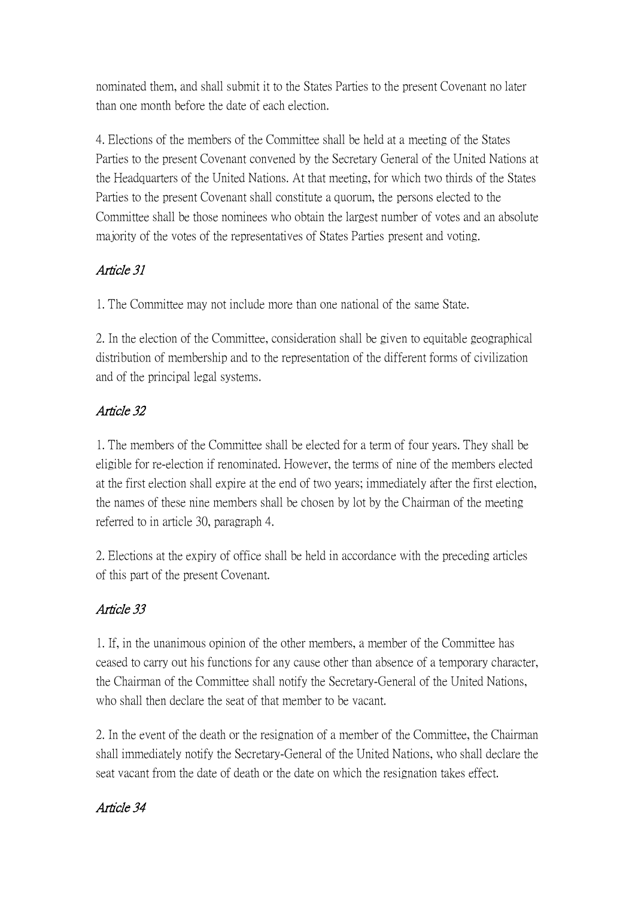nominated them, and shall submit it to the States Parties to the present Covenant no later than one month before the date of each election.

4. Elections of the members of the Committee shall be held at a meeting of the States Parties to the present Covenant convened by the Secretary General of the United Nations at the Headquarters of the United Nations. At that meeting, for which two thirds of the States Parties to the present Covenant shall constitute a quorum, the persons elected to the Committee shall be those nominees who obtain the largest number of votes and an absolute majority of the votes of the representatives of States Parties present and voting.

# Article 31

1. The Committee may not include more than one national of the same State.

2. In the election of the Committee, consideration shall be given to equitable geographical distribution of membership and to the representation of the different forms of civilization and of the principal legal systems.

# Article 32

1. The members of the Committee shall be elected for a term of four years. They shall be eligible for re-election if renominated. However, the terms of nine of the members elected at the first election shall expire at the end of two years; immediately after the first election, the names of these nine members shall be chosen by lot by the Chairman of the meeting referred to in article 30, paragraph 4.

2. Elections at the expiry of office shall be held in accordance with the preceding articles of this part of the present Covenant.

# Article 33

1. If, in the unanimous opinion of the other members, a member of the Committee has ceased to carry out his functions for any cause other than absence of a temporary character, the Chairman of the Committee shall notify the Secretary-General of the United Nations, who shall then declare the seat of that member to be vacant.

2. In the event of the death or the resignation of a member of the Committee, the Chairman shall immediately notify the Secretary-General of the United Nations, who shall declare the seat vacant from the date of death or the date on which the resignation takes effect.

# Article 34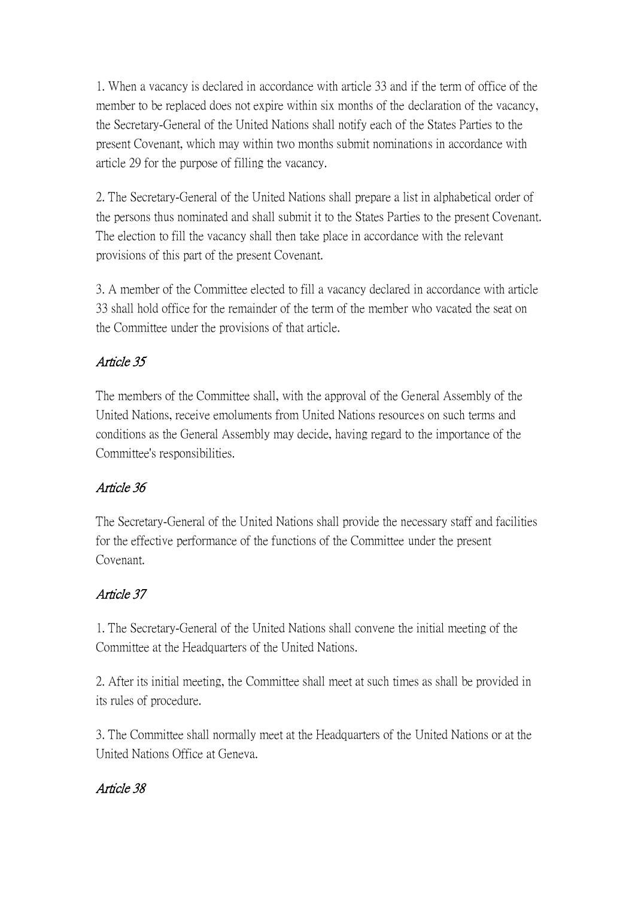1. When a vacancy is declared in accordance with article 33 and if the term of office of the member to be replaced does not expire within six months of the declaration of the vacancy, the Secretary-General of the United Nations shall notify each of the States Parties to the present Covenant, which may within two months submit nominations in accordance with article 29 for the purpose of filling the vacancy.

2. The Secretary-General of the United Nations shall prepare a list in alphabetical order of the persons thus nominated and shall submit it to the States Parties to the present Covenant. The election to fill the vacancy shall then take place in accordance with the relevant provisions of this part of the present Covenant.

3. A member of the Committee elected to fill a vacancy declared in accordance with article 33 shall hold office for the remainder of the term of the member who vacated the seat on the Committee under the provisions of that article.

## Article 35

The members of the Committee shall, with the approval of the General Assembly of the United Nations, receive emoluments from United Nations resources on such terms and conditions as the General Assembly may decide, having regard to the importance of the Committee's responsibilities.

# Article 36

The Secretary-General of the United Nations shall provide the necessary staff and facilities for the effective performance of the functions of the Committee under the present Covenant.

# Article 37

1. The Secretary-General of the United Nations shall convene the initial meeting of the Committee at the Headquarters of the United Nations.

2. After its initial meeting, the Committee shall meet at such times as shall be provided in its rules of procedure.

3. The Committee shall normally meet at the Headquarters of the United Nations or at the United Nations Office at Geneva.

## Article 38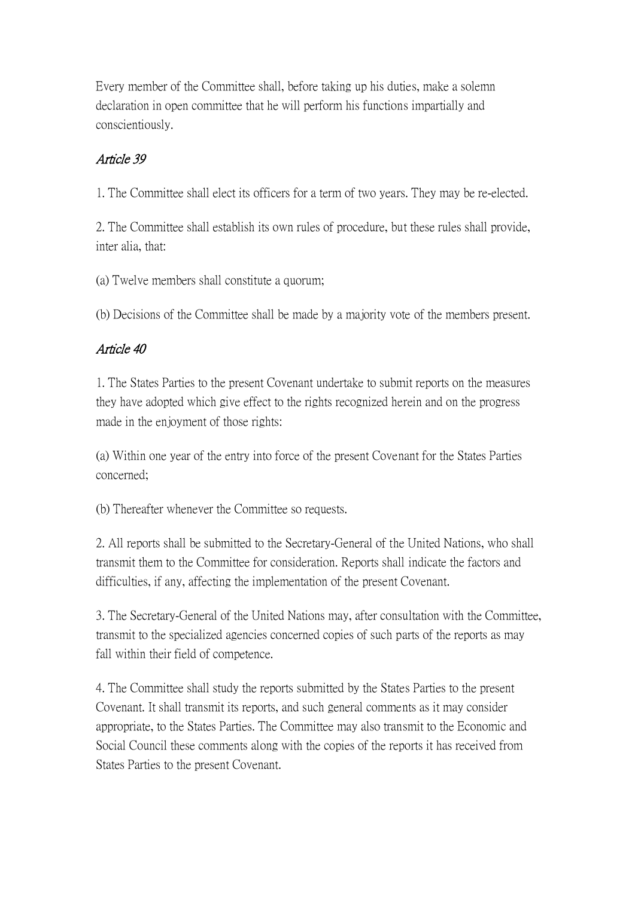Every member of the Committee shall, before taking up his duties, make a solemn declaration in open committee that he will perform his functions impartially and conscientiously.

### Article 39

1. The Committee shall elect its officers for a term of two years. They may be re-elected.

2. The Committee shall establish its own rules of procedure, but these rules shall provide, inter alia, that:

(a) Twelve members shall constitute a quorum;

(b) Decisions of the Committee shall be made by a majority vote of the members present.

### Article 40

1. The States Parties to the present Covenant undertake to submit reports on the measures they have adopted which give effect to the rights recognized herein and on the progress made in the enjoyment of those rights:

(a) Within one year of the entry into force of the present Covenant for the States Parties concerned;

(b) Thereafter whenever the Committee so requests.

2. All reports shall be submitted to the Secretary-General of the United Nations, who shall transmit them to the Committee for consideration. Reports shall indicate the factors and difficulties, if any, affecting the implementation of the present Covenant.

3. The Secretary-General of the United Nations may, after consultation with the Committee, transmit to the specialized agencies concerned copies of such parts of the reports as may fall within their field of competence.

4. The Committee shall study the reports submitted by the States Parties to the present Covenant. It shall transmit its reports, and such general comments as it may consider appropriate, to the States Parties. The Committee may also transmit to the Economic and Social Council these comments along with the copies of the reports it has received from States Parties to the present Covenant.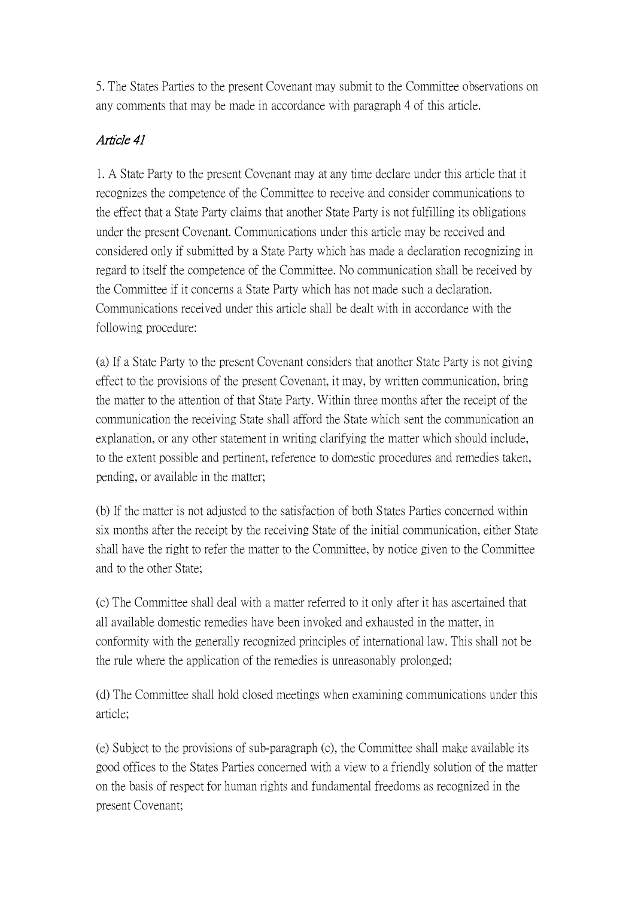5. The States Parties to the present Covenant may submit to the Committee observations on any comments that may be made in accordance with paragraph 4 of this article.

### Article 41

1. A State Party to the present Covenant may at any time declare under this article that it recognizes the competence of the Committee to receive and consider communications to the effect that a State Party claims that another State Party is not fulfilling its obligations under the present Covenant. Communications under this article may be received and considered only if submitted by a State Party which has made a declaration recognizing in regard to itself the competence of the Committee. No communication shall be received by the Committee if it concerns a State Party which has not made such a declaration. Communications received under this article shall be dealt with in accordance with the following procedure:

(a) If a State Party to the present Covenant considers that another State Party is not giving effect to the provisions of the present Covenant, it may, by written communication, bring the matter to the attention of that State Party. Within three months after the receipt of the communication the receiving State shall afford the State which sent the communication an explanation, or any other statement in writing clarifying the matter which should include, to the extent possible and pertinent, reference to domestic procedures and remedies taken, pending, or available in the matter;

(b) If the matter is not adjusted to the satisfaction of both States Parties concerned within six months after the receipt by the receiving State of the initial communication, either State shall have the right to refer the matter to the Committee, by notice given to the Committee and to the other State;

(c) The Committee shall deal with a matter referred to it only after it has ascertained that all available domestic remedies have been invoked and exhausted in the matter, in conformity with the generally recognized principles of international law. This shall not be the rule where the application of the remedies is unreasonably prolonged;

(d) The Committee shall hold closed meetings when examining communications under this article;

(e) Subject to the provisions of sub-paragraph (c), the Committee shall make available its good offices to the States Parties concerned with a view to a friendly solution of the matter on the basis of respect for human rights and fundamental freedoms as recognized in the present Covenant;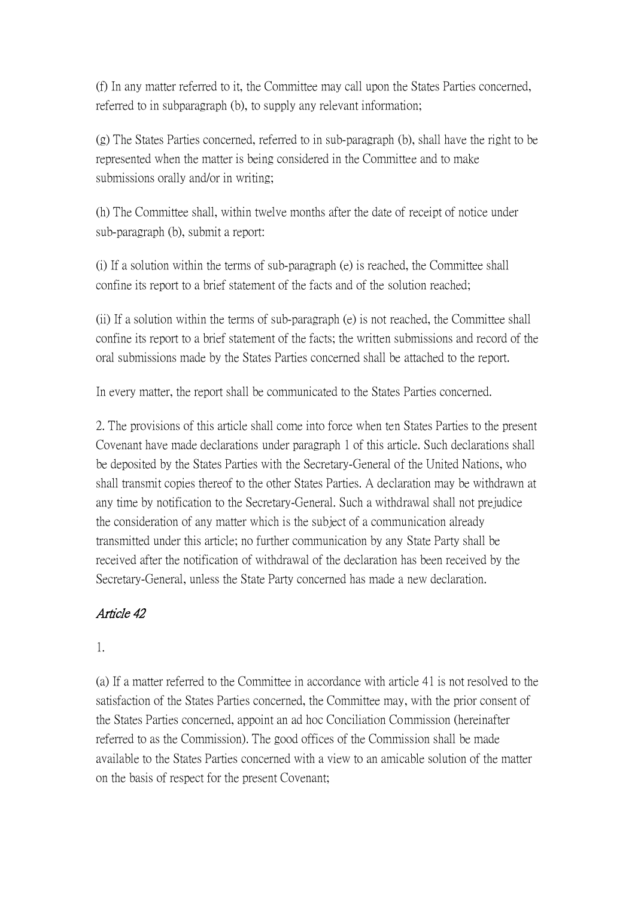(f) In any matter referred to it, the Committee may call upon the States Parties concerned, referred to in subparagraph (b), to supply any relevant information;

(g) The States Parties concerned, referred to in sub-paragraph (b), shall have the right to be represented when the matter is being considered in the Committee and to make submissions orally and/or in writing;

(h) The Committee shall, within twelve months after the date of receipt of notice under sub-paragraph (b), submit a report:

(i) If a solution within the terms of sub-paragraph (e) is reached, the Committee shall confine its report to a brief statement of the facts and of the solution reached;

(ii) If a solution within the terms of sub-paragraph (e) is not reached, the Committee shall confine its report to a brief statement of the facts; the written submissions and record of the oral submissions made by the States Parties concerned shall be attached to the report.

In every matter, the report shall be communicated to the States Parties concerned.

2. The provisions of this article shall come into force when ten States Parties to the present Covenant have made declarations under paragraph 1 of this article. Such declarations shall be deposited by the States Parties with the Secretary-General of the United Nations, who shall transmit copies thereof to the other States Parties. A declaration may be withdrawn at any time by notification to the Secretary-General. Such a withdrawal shall not prejudice the consideration of any matter which is the subject of a communication already transmitted under this article; no further communication by any State Party shall be received after the notification of withdrawal of the declaration has been received by the Secretary-General, unless the State Party concerned has made a new declaration.

### Article 42

1.

(a) If a matter referred to the Committee in accordance with article 41 is not resolved to the satisfaction of the States Parties concerned, the Committee may, with the prior consent of the States Parties concerned, appoint an ad hoc Conciliation Commission (hereinafter referred to as the Commission). The good offices of the Commission shall be made available to the States Parties concerned with a view to an amicable solution of the matter on the basis of respect for the present Covenant;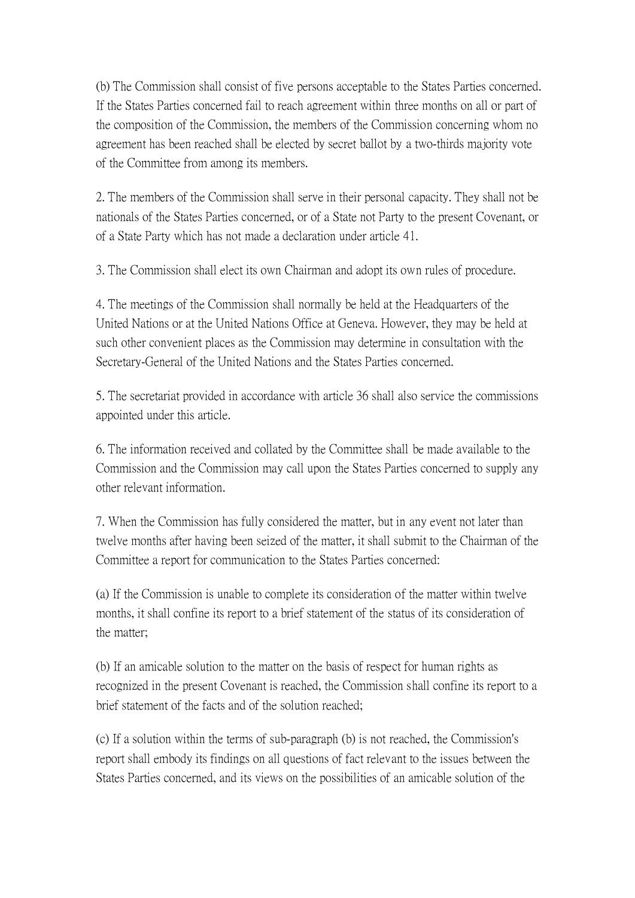(b) The Commission shall consist of five persons acceptable to the States Parties concerned. If the States Parties concerned fail to reach agreement within three months on all or part of the composition of the Commission, the members of the Commission concerning whom no agreement has been reached shall be elected by secret ballot by a two-thirds majority vote of the Committee from among its members.

2. The members of the Commission shall serve in their personal capacity. They shall not be nationals of the States Parties concerned, or of a State not Party to the present Covenant, or of a State Party which has not made a declaration under article 41.

3. The Commission shall elect its own Chairman and adopt its own rules of procedure.

4. The meetings of the Commission shall normally be held at the Headquarters of the United Nations or at the United Nations Office at Geneva. However, they may be held at such other convenient places as the Commission may determine in consultation with the Secretary-General of the United Nations and the States Parties concerned.

5. The secretariat provided in accordance with article 36 shall also service the commissions appointed under this article.

6. The information received and collated by the Committee shall be made available to the Commission and the Commission may call upon the States Parties concerned to supply any other relevant information.

7. When the Commission has fully considered the matter, but in any event not later than twelve months after having been seized of the matter, it shall submit to the Chairman of the Committee a report for communication to the States Parties concerned:

(a) If the Commission is unable to complete its consideration of the matter within twelve months, it shall confine its report to a brief statement of the status of its consideration of the matter;

(b) If an amicable solution to the matter on the basis of respect for human rights as recognized in the present Covenant is reached, the Commission shall confine its report to a brief statement of the facts and of the solution reached;

(c) If a solution within the terms of sub-paragraph (b) is not reached, the Commission's report shall embody its findings on all questions of fact relevant to the issues between the States Parties concerned, and its views on the possibilities of an amicable solution of the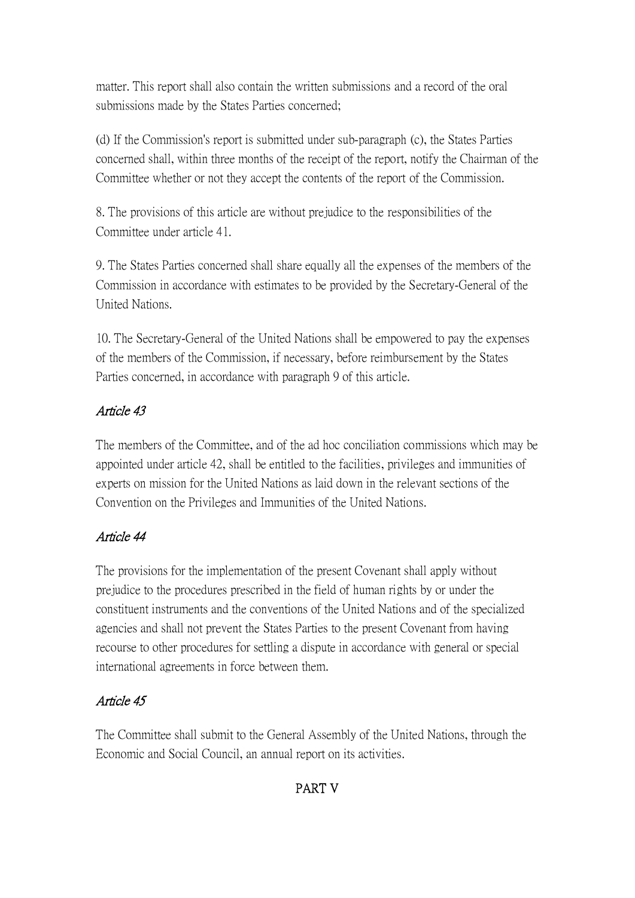matter. This report shall also contain the written submissions and a record of the oral submissions made by the States Parties concerned;

(d) If the Commission's report is submitted under sub-paragraph (c), the States Parties concerned shall, within three months of the receipt of the report, notify the Chairman of the Committee whether or not they accept the contents of the report of the Commission.

8. The provisions of this article are without prejudice to the responsibilities of the Committee under article 41.

9. The States Parties concerned shall share equally all the expenses of the members of the Commission in accordance with estimates to be provided by the Secretary-General of the United Nations.

10. The Secretary-General of the United Nations shall be empowered to pay the expenses of the members of the Commission, if necessary, before reimbursement by the States Parties concerned, in accordance with paragraph 9 of this article.

# Article 43

The members of the Committee, and of the ad hoc conciliation commissions which may be appointed under article 42, shall be entitled to the facilities, privileges and immunities of experts on mission for the United Nations as laid down in the relevant sections of the Convention on the Privileges and Immunities of the United Nations.

## Article 44

The provisions for the implementation of the present Covenant shall apply without prejudice to the procedures prescribed in the field of human rights by or under the constituent instruments and the conventions of the United Nations and of the specialized agencies and shall not prevent the States Parties to the present Covenant from having recourse to other procedures for settling a dispute in accordance with general or special international agreements in force between them.

## Article 45

The Committee shall submit to the General Assembly of the United Nations, through the Economic and Social Council, an annual report on its activities.

## PART V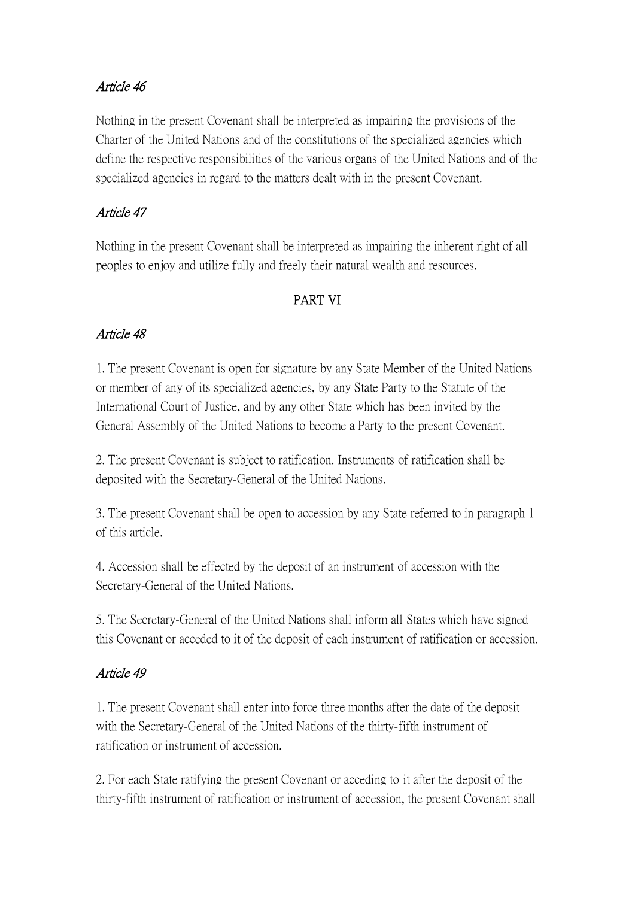Nothing in the present Covenant shall be interpreted as impairing the provisions of the Charter of the United Nations and of the constitutions of the specialized agencies which define the respective responsibilities of the various organs of the United Nations and of the specialized agencies in regard to the matters dealt with in the present Covenant.

# Article 47

Nothing in the present Covenant shall be interpreted as impairing the inherent right of all peoples to enjoy and utilize fully and freely their natural wealth and resources.

# PART VI

# Article 48

1. The present Covenant is open for signature by any State Member of the United Nations or member of any of its specialized agencies, by any State Party to the Statute of the International Court of Justice, and by any other State which has been invited by the General Assembly of the United Nations to become a Party to the present Covenant.

2. The present Covenant is subject to ratification. Instruments of ratification shall be deposited with the Secretary-General of the United Nations.

3. The present Covenant shall be open to accession by any State referred to in paragraph 1 of this article.

4. Accession shall be effected by the deposit of an instrument of accession with the Secretary-General of the United Nations.

5. The Secretary-General of the United Nations shall inform all States which have signed this Covenant or acceded to it of the deposit of each instrument of ratification or accession.

# Article 49

1. The present Covenant shall enter into force three months after the date of the deposit with the Secretary-General of the United Nations of the thirty-fifth instrument of ratification or instrument of accession.

2. For each State ratifying the present Covenant or acceding to it after the deposit of the thirty-fifth instrument of ratification or instrument of accession, the present Covenant shall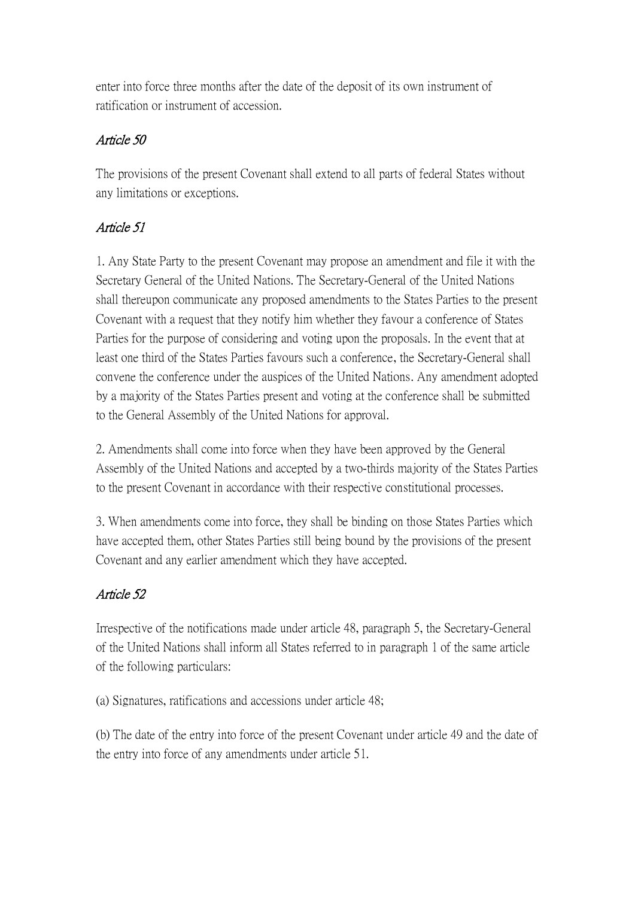enter into force three months after the date of the deposit of its own instrument of ratification or instrument of accession.

### Article 50

The provisions of the present Covenant shall extend to all parts of federal States without any limitations or exceptions.

## Article 51

1. Any State Party to the present Covenant may propose an amendment and file it with the Secretary General of the United Nations. The Secretary-General of the United Nations shall thereupon communicate any proposed amendments to the States Parties to the present Covenant with a request that they notify him whether they favour a conference of States Parties for the purpose of considering and voting upon the proposals. In the event that at least one third of the States Parties favours such a conference, the Secretary-General shall convene the conference under the auspices of the United Nations. Any amendment adopted by a majority of the States Parties present and voting at the conference shall be submitted to the General Assembly of the United Nations for approval.

2. Amendments shall come into force when they have been approved by the General Assembly of the United Nations and accepted by a two-thirds majority of the States Parties to the present Covenant in accordance with their respective constitutional processes.

3. When amendments come into force, they shall be binding on those States Parties which have accepted them, other States Parties still being bound by the provisions of the present Covenant and any earlier amendment which they have accepted.

## Article 52

Irrespective of the notifications made under article 48, paragraph 5, the Secretary-General of the United Nations shall inform all States referred to in paragraph 1 of the same article of the following particulars:

(a) Signatures, ratifications and accessions under article 48;

(b) The date of the entry into force of the present Covenant under article 49 and the date of the entry into force of any amendments under article 51.